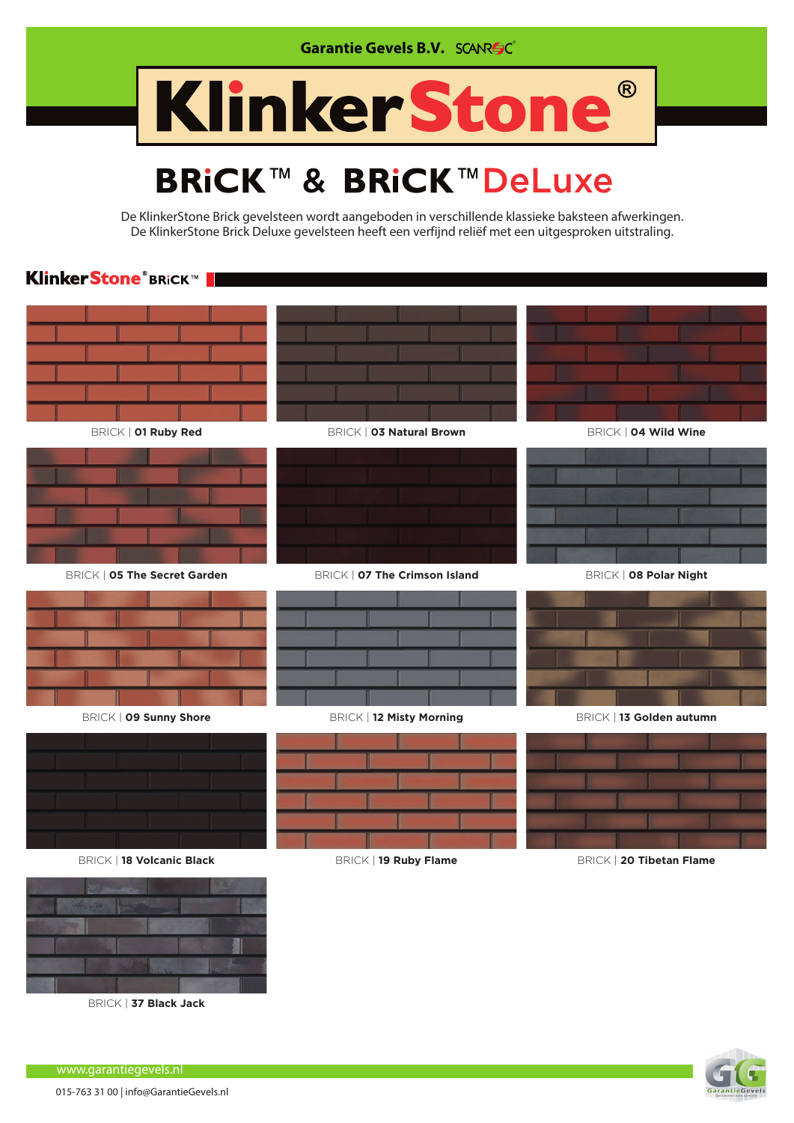

## KlinkerStone®

## **BRICK™ & BRICK™DeLuxe**

De KlinkerStone Brick gevelsteen wordt aangeboden in verschillende klassieke baksteen afwerkingen. De KlinkerStone Brick Deluxe gevelsteen heeft een verfijnd reliëf met een uitgesproken uitstraling.

## **KlinkerStone®BRiCK™**





www.garantiegevels.nl

BRICK | **37 Black Jack**